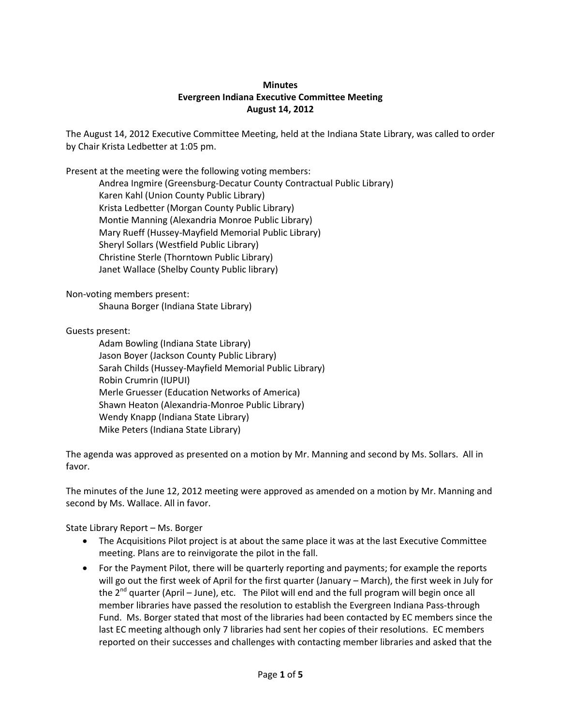## **Minutes Evergreen Indiana Executive Committee Meeting August 14, 2012**

The August 14, 2012 Executive Committee Meeting, held at the Indiana State Library, was called to order by Chair Krista Ledbetter at 1:05 pm.

Present at the meeting were the following voting members:

Andrea Ingmire (Greensburg-Decatur County Contractual Public Library) Karen Kahl (Union County Public Library) Krista Ledbetter (Morgan County Public Library) Montie Manning (Alexandria Monroe Public Library) Mary Rueff (Hussey-Mayfield Memorial Public Library) Sheryl Sollars (Westfield Public Library) Christine Sterle (Thorntown Public Library) Janet Wallace (Shelby County Public library)

Non-voting members present:

Shauna Borger (Indiana State Library)

Guests present:

Adam Bowling (Indiana State Library) Jason Boyer (Jackson County Public Library) Sarah Childs (Hussey-Mayfield Memorial Public Library) Robin Crumrin (IUPUI) Merle Gruesser (Education Networks of America) Shawn Heaton (Alexandria-Monroe Public Library) Wendy Knapp (Indiana State Library) Mike Peters (Indiana State Library)

The agenda was approved as presented on a motion by Mr. Manning and second by Ms. Sollars. All in favor.

The minutes of the June 12, 2012 meeting were approved as amended on a motion by Mr. Manning and second by Ms. Wallace. All in favor.

State Library Report – Ms. Borger

- The Acquisitions Pilot project is at about the same place it was at the last Executive Committee meeting. Plans are to reinvigorate the pilot in the fall.
- For the Payment Pilot, there will be quarterly reporting and payments; for example the reports will go out the first week of April for the first quarter (January – March), the first week in July for the  $2^{nd}$  quarter (April – June), etc. The Pilot will end and the full program will begin once all member libraries have passed the resolution to establish the Evergreen Indiana Pass-through Fund. Ms. Borger stated that most of the libraries had been contacted by EC members since the last EC meeting although only 7 libraries had sent her copies of their resolutions. EC members reported on their successes and challenges with contacting member libraries and asked that the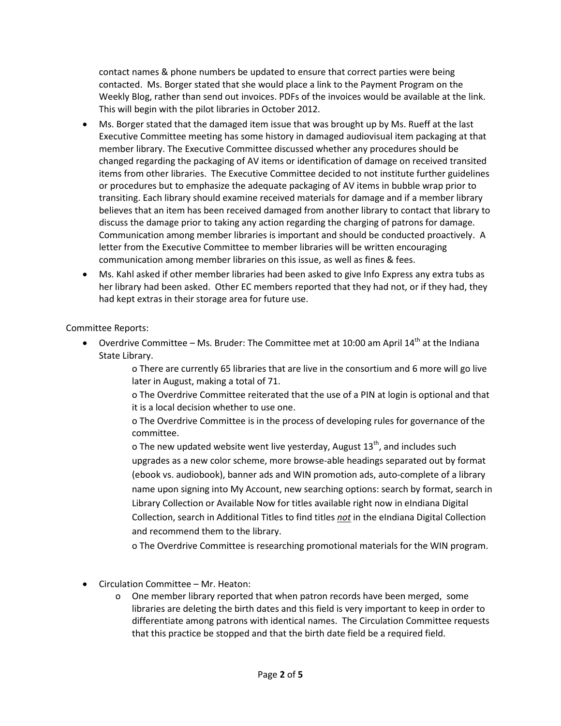contact names & phone numbers be updated to ensure that correct parties were being contacted. Ms. Borger stated that she would place a link to the Payment Program on the Weekly Blog, rather than send out invoices. PDFs of the invoices would be available at the link. This will begin with the pilot libraries in October 2012.

- Ms. Borger stated that the damaged item issue that was brought up by Ms. Rueff at the last Executive Committee meeting has some history in damaged audiovisual item packaging at that member library. The Executive Committee discussed whether any procedures should be changed regarding the packaging of AV items or identification of damage on received transited items from other libraries. The Executive Committee decided to not institute further guidelines or procedures but to emphasize the adequate packaging of AV items in bubble wrap prior to transiting. Each library should examine received materials for damage and if a member library believes that an item has been received damaged from another library to contact that library to discuss the damage prior to taking any action regarding the charging of patrons for damage. Communication among member libraries is important and should be conducted proactively. A letter from the Executive Committee to member libraries will be written encouraging communication among member libraries on this issue, as well as fines & fees.
- Ms. Kahl asked if other member libraries had been asked to give Info Express any extra tubs as her library had been asked. Other EC members reported that they had not, or if they had, they had kept extras in their storage area for future use.

Committee Reports:

Overdrive Committee – Ms. Bruder: The Committee met at 10:00 am April  $14<sup>th</sup>$  at the Indiana State Library.

> o There are currently 65 libraries that are live in the consortium and 6 more will go live later in August, making a total of 71.

> o The Overdrive Committee reiterated that the use of a PIN at login is optional and that it is a local decision whether to use one.

o The Overdrive Committee is in the process of developing rules for governance of the committee.

o The new updated website went live yesterday, August  $13<sup>th</sup>$ , and includes such upgrades as a new color scheme, more browse-able headings separated out by format (ebook vs. audiobook), banner ads and WIN promotion ads, auto-complete of a library name upon signing into My Account, new searching options: search by format, search in Library Collection or Available Now for titles available right now in eIndiana Digital Collection, search in Additional Titles to find titles *not* in the eIndiana Digital Collection and recommend them to the library.

o The Overdrive Committee is researching promotional materials for the WIN program.

- Circulation Committee Mr. Heaton:
	- o One member library reported that when patron records have been merged, some libraries are deleting the birth dates and this field is very important to keep in order to differentiate among patrons with identical names. The Circulation Committee requests that this practice be stopped and that the birth date field be a required field.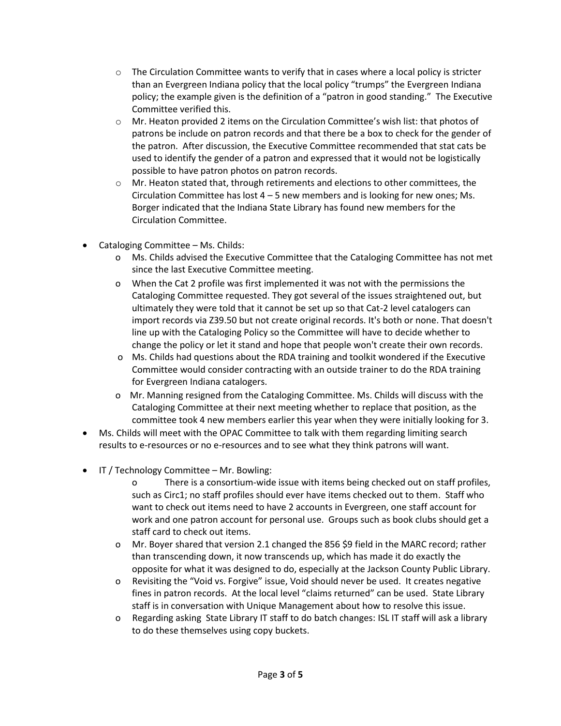- $\circ$  The Circulation Committee wants to verify that in cases where a local policy is stricter than an Evergreen Indiana policy that the local policy "trumps" the Evergreen Indiana policy; the example given is the definition of a "patron in good standing." The Executive Committee verified this.
- o Mr. Heaton provided 2 items on the Circulation Committee's wish list: that photos of patrons be include on patron records and that there be a box to check for the gender of the patron. After discussion, the Executive Committee recommended that stat cats be used to identify the gender of a patron and expressed that it would not be logistically possible to have patron photos on patron records.
- $\circ$  Mr. Heaton stated that, through retirements and elections to other committees, the Circulation Committee has lost  $4 - 5$  new members and is looking for new ones; Ms. Borger indicated that the Indiana State Library has found new members for the Circulation Committee.
- Cataloging Committee Ms. Childs:
	- o Ms. Childs advised the Executive Committee that the Cataloging Committee has not met since the last Executive Committee meeting.
	- o When the Cat 2 profile was first implemented it was not with the permissions the Cataloging Committee requested. They got several of the issues straightened out, but ultimately they were told that it cannot be set up so that Cat-2 level catalogers can import records via Z39.50 but not create original records. It's both or none. That doesn't line up with the Cataloging Policy so the Committee will have to decide whether to change the policy or let it stand and hope that people won't create their own records.
	- o Ms. Childs had questions about the RDA training and toolkit wondered if the Executive Committee would consider contracting with an outside trainer to do the RDA training for Evergreen Indiana catalogers.
	- o Mr. Manning resigned from the Cataloging Committee. Ms. Childs will discuss with the Cataloging Committee at their next meeting whether to replace that position, as the committee took 4 new members earlier this year when they were initially looking for 3.
- Ms. Childs will meet with the OPAC Committee to talk with them regarding limiting search results to e-resources or no e-resources and to see what they think patrons will want.
- IT / Technology Committee Mr. Bowling:
	- o There is a consortium-wide issue with items being checked out on staff profiles, such as Circ1; no staff profiles should ever have items checked out to them. Staff who want to check out items need to have 2 accounts in Evergreen, one staff account for work and one patron account for personal use. Groups such as book clubs should get a staff card to check out items.
	- o Mr. Boyer shared that version 2.1 changed the 856 \$9 field in the MARC record; rather than transcending down, it now transcends up, which has made it do exactly the opposite for what it was designed to do, especially at the Jackson County Public Library.
	- o Revisiting the "Void vs. Forgive" issue, Void should never be used. It creates negative fines in patron records. At the local level "claims returned" can be used. State Library staff is in conversation with Unique Management about how to resolve this issue.
	- o Regarding asking State Library IT staff to do batch changes: ISL IT staff will ask a library to do these themselves using copy buckets.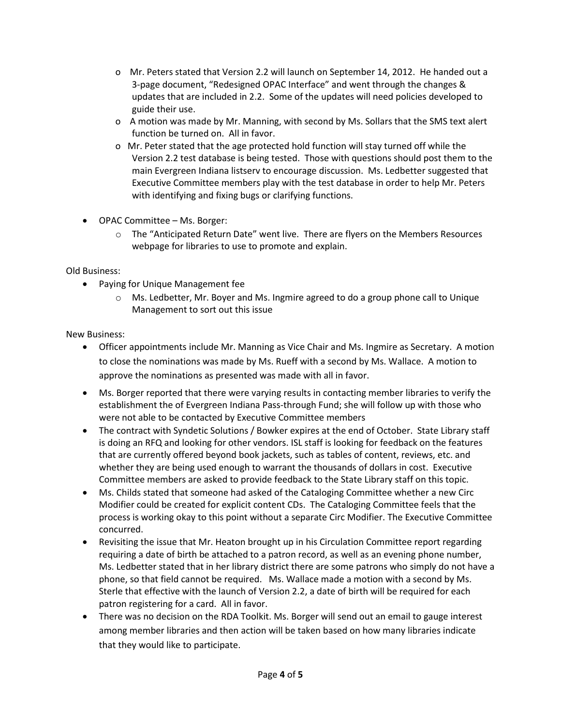- o Mr. Peters stated that Version 2.2 will launch on September 14, 2012. He handed out a 3-page document, "Redesigned OPAC Interface" and went through the changes & updates that are included in 2.2. Some of the updates will need policies developed to guide their use.
- o A motion was made by Mr. Manning, with second by Ms. Sollars that the SMS text alert function be turned on. All in favor.
- o Mr. Peter stated that the age protected hold function will stay turned off while the Version 2.2 test database is being tested. Those with questions should post them to the main Evergreen Indiana listserv to encourage discussion. Ms. Ledbetter suggested that Executive Committee members play with the test database in order to help Mr. Peters with identifying and fixing bugs or clarifying functions.
- OPAC Committee Ms. Borger:
	- o The "Anticipated Return Date" went live. There are flyers on the Members Resources webpage for libraries to use to promote and explain.

Old Business:

- Paying for Unique Management fee
	- o Ms. Ledbetter, Mr. Boyer and Ms. Ingmire agreed to do a group phone call to Unique Management to sort out this issue

New Business:

- Officer appointments include Mr. Manning as Vice Chair and Ms. Ingmire as Secretary. A motion to close the nominations was made by Ms. Rueff with a second by Ms. Wallace. A motion to approve the nominations as presented was made with all in favor.
- Ms. Borger reported that there were varying results in contacting member libraries to verify the establishment the of Evergreen Indiana Pass-through Fund; she will follow up with those who were not able to be contacted by Executive Committee members
- The contract with Syndetic Solutions / Bowker expires at the end of October. State Library staff is doing an RFQ and looking for other vendors. ISL staff is looking for feedback on the features that are currently offered beyond book jackets, such as tables of content, reviews, etc. and whether they are being used enough to warrant the thousands of dollars in cost. Executive Committee members are asked to provide feedback to the State Library staff on this topic.
- Ms. Childs stated that someone had asked of the Cataloging Committee whether a new Circ Modifier could be created for explicit content CDs. The Cataloging Committee feels that the process is working okay to this point without a separate Circ Modifier. The Executive Committee concurred.
- Revisiting the issue that Mr. Heaton brought up in his Circulation Committee report regarding requiring a date of birth be attached to a patron record, as well as an evening phone number, Ms. Ledbetter stated that in her library district there are some patrons who simply do not have a phone, so that field cannot be required. Ms. Wallace made a motion with a second by Ms. Sterle that effective with the launch of Version 2.2, a date of birth will be required for each patron registering for a card. All in favor.
- There was no decision on the RDA Toolkit. Ms. Borger will send out an email to gauge interest among member libraries and then action will be taken based on how many libraries indicate that they would like to participate.